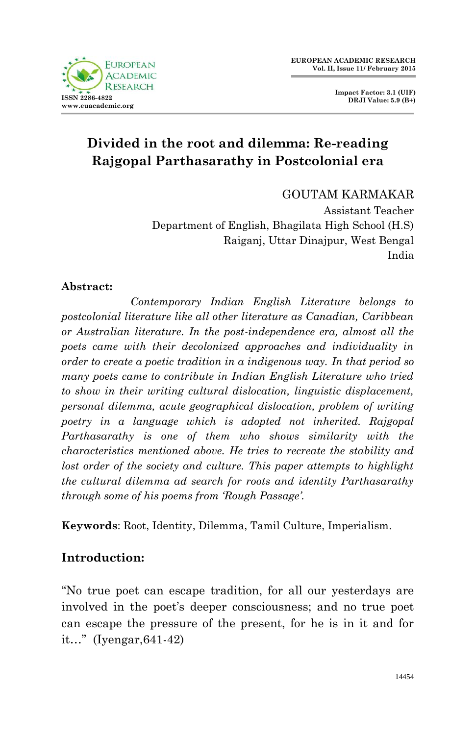

**Impact Factor: 3.1 (UIF) DRJI Value: 5.9 (B+)**

# **Divided in the root and dilemma: Re-reading Rajgopal Parthasarathy in Postcolonial era**

GOUTAM KARMAKAR

Assistant Teacher Department of English, Bhagilata High School (H.S) Raiganj, Uttar Dinajpur, West Bengal India

### **Abstract:**

 *Contemporary Indian English Literature belongs to postcolonial literature like all other literature as Canadian, Caribbean or Australian literature. In the post-independence era, almost all the poets came with their decolonized approaches and individuality in order to create a poetic tradition in a indigenous way. In that period so many poets came to contribute in Indian English Literature who tried to show in their writing cultural dislocation, linguistic displacement, personal dilemma, acute geographical dislocation, problem of writing poetry in a language which is adopted not inherited. Rajgopal Parthasarathy is one of them who shows similarity with the characteristics mentioned above. He tries to recreate the stability and lost order of the society and culture. This paper attempts to highlight the cultural dilemma ad search for roots and identity Parthasarathy through some of his poems from 'Rough Passage'.*

**Keywords**: Root, Identity, Dilemma, Tamil Culture, Imperialism.

## **Introduction:**

"No true poet can escape tradition, for all our yesterdays are involved in the poet's deeper consciousness; and no true poet can escape the pressure of the present, for he is in it and for it…" (Iyengar,641-42)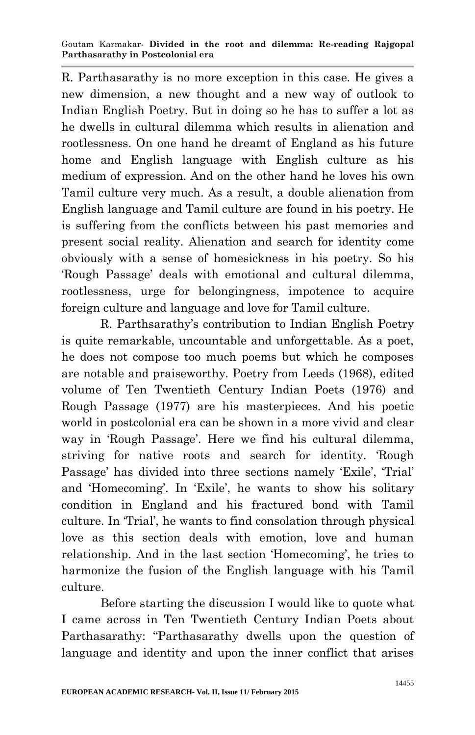R. Parthasarathy is no more exception in this case. He gives a new dimension, a new thought and a new way of outlook to Indian English Poetry. But in doing so he has to suffer a lot as he dwells in cultural dilemma which results in alienation and rootlessness. On one hand he dreamt of England as his future home and English language with English culture as his medium of expression. And on the other hand he loves his own Tamil culture very much. As a result, a double alienation from English language and Tamil culture are found in his poetry. He is suffering from the conflicts between his past memories and present social reality. Alienation and search for identity come obviously with a sense of homesickness in his poetry. So his "Rough Passage" deals with emotional and cultural dilemma, rootlessness, urge for belongingness, impotence to acquire foreign culture and language and love for Tamil culture.

R. Parthsarathy"s contribution to Indian English Poetry is quite remarkable, uncountable and unforgettable. As a poet, he does not compose too much poems but which he composes are notable and praiseworthy. Poetry from Leeds (1968), edited volume of Ten Twentieth Century Indian Poets (1976) and Rough Passage (1977) are his masterpieces. And his poetic world in postcolonial era can be shown in a more vivid and clear way in 'Rough Passage'. Here we find his cultural dilemma, striving for native roots and search for identity. "Rough Passage' has divided into three sections namely 'Exile', 'Trial' and 'Homecoming'. In 'Exile', he wants to show his solitary condition in England and his fractured bond with Tamil culture. In "Trial", he wants to find consolation through physical love as this section deals with emotion, love and human relationship. And in the last section 'Homecoming', he tries to harmonize the fusion of the English language with his Tamil culture.

Before starting the discussion I would like to quote what I came across in Ten Twentieth Century Indian Poets about Parthasarathy: "Parthasarathy dwells upon the question of language and identity and upon the inner conflict that arises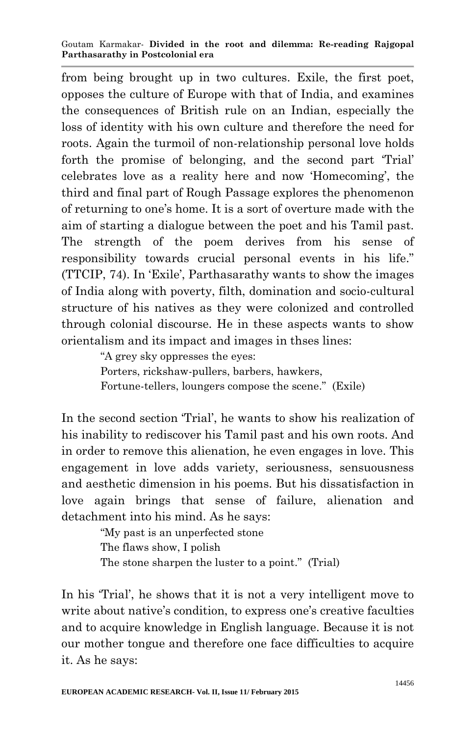#### Goutam Karmakar- **Divided in the root and dilemma: Re-reading Rajgopal Parthasarathy in Postcolonial era**

from being brought up in two cultures. Exile, the first poet, opposes the culture of Europe with that of India, and examines the consequences of British rule on an Indian, especially the loss of identity with his own culture and therefore the need for roots. Again the turmoil of non-relationship personal love holds forth the promise of belonging, and the second part "Trial" celebrates love as a reality here and now "Homecoming", the third and final part of Rough Passage explores the phenomenon of returning to one"s home. It is a sort of overture made with the aim of starting a dialogue between the poet and his Tamil past. The strength of the poem derives from his sense of responsibility towards crucial personal events in his life." (TTCIP, 74). In "Exile", Parthasarathy wants to show the images of India along with poverty, filth, domination and socio-cultural structure of his natives as they were colonized and controlled through colonial discourse. He in these aspects wants to show orientalism and its impact and images in thses lines:

"A grey sky oppresses the eyes:

Porters, rickshaw-pullers, barbers, hawkers,

Fortune-tellers, loungers compose the scene." (Exile)

In the second section "Trial", he wants to show his realization of his inability to rediscover his Tamil past and his own roots. And in order to remove this alienation, he even engages in love. This engagement in love adds variety, seriousness, sensuousness and aesthetic dimension in his poems. But his dissatisfaction in love again brings that sense of failure, alienation and detachment into his mind. As he says:

> "My past is an unperfected stone The flaws show, I polish The stone sharpen the luster to a point." (Trial)

In his 'Trial', he shows that it is not a very intelligent move to write about native's condition, to express one's creative faculties and to acquire knowledge in English language. Because it is not our mother tongue and therefore one face difficulties to acquire it. As he says: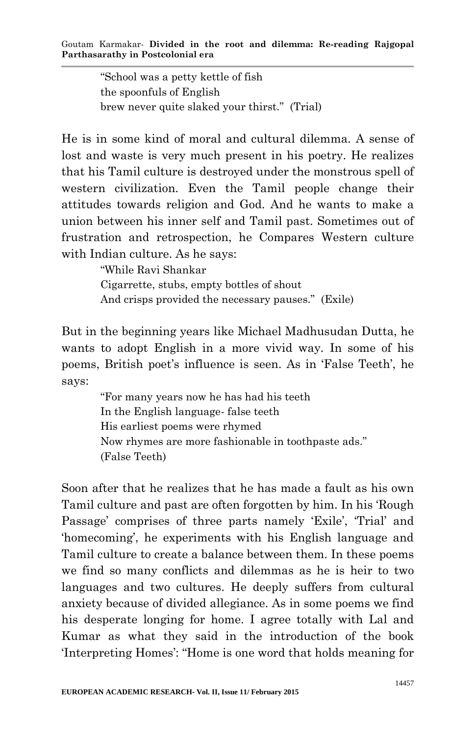"School was a petty kettle of fish the spoonfuls of English brew never quite slaked your thirst." (Trial)

He is in some kind of moral and cultural dilemma. A sense of lost and waste is very much present in his poetry. He realizes that his Tamil culture is destroyed under the monstrous spell of western civilization. Even the Tamil people change their attitudes towards religion and God. And he wants to make a union between his inner self and Tamil past. Sometimes out of frustration and retrospection, he Compares Western culture with Indian culture. As he says:

> "While Ravi Shankar Cigarrette, stubs, empty bottles of shout And crisps provided the necessary pauses." (Exile)

But in the beginning years like Michael Madhusudan Dutta, he wants to adopt English in a more vivid way. In some of his poems, British poet's influence is seen. As in 'False Teeth', he says:

> "For many years now he has had his teeth In the English language- false teeth His earliest poems were rhymed Now rhymes are more fashionable in toothpaste ads." (False Teeth)

Soon after that he realizes that he has made a fault as his own Tamil culture and past are often forgotten by him. In his "Rough Passage' comprises of three parts namely 'Exile', 'Trial' and "homecoming", he experiments with his English language and Tamil culture to create a balance between them. In these poems we find so many conflicts and dilemmas as he is heir to two languages and two cultures. He deeply suffers from cultural anxiety because of divided allegiance. As in some poems we find his desperate longing for home. I agree totally with Lal and Kumar as what they said in the introduction of the book "Interpreting Homes": "Home is one word that holds meaning for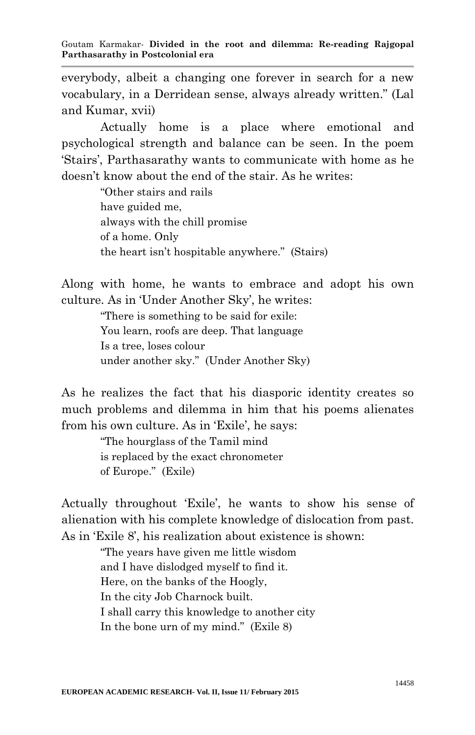everybody, albeit a changing one forever in search for a new vocabulary, in a Derridean sense, always already written." (Lal and Kumar, xvii)

Actually home is a place where emotional and psychological strength and balance can be seen. In the poem "Stairs", Parthasarathy wants to communicate with home as he doesn"t know about the end of the stair. As he writes:

> "Other stairs and rails have guided me, always with the chill promise of a home. Only the heart isn"t hospitable anywhere." (Stairs)

Along with home, he wants to embrace and adopt his own culture. As in 'Under Another Sky', he writes:

> "There is something to be said for exile: You learn, roofs are deep. That language Is a tree, loses colour under another sky." (Under Another Sky)

As he realizes the fact that his diasporic identity creates so much problems and dilemma in him that his poems alienates from his own culture. As in 'Exile', he says:

"The hourglass of the Tamil mind is replaced by the exact chronometer of Europe." (Exile)

Actually throughout 'Exile', he wants to show his sense of alienation with his complete knowledge of dislocation from past. As in 'Exile 8', his realization about existence is shown:

> "The years have given me little wisdom and I have dislodged myself to find it. Here, on the banks of the Hoogly, In the city Job Charnock built. I shall carry this knowledge to another city In the bone urn of my mind." (Exile 8)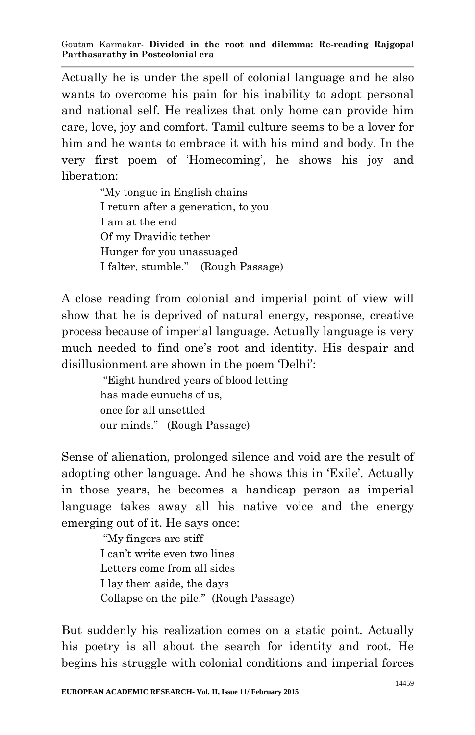Actually he is under the spell of colonial language and he also wants to overcome his pain for his inability to adopt personal and national self. He realizes that only home can provide him care, love, joy and comfort. Tamil culture seems to be a lover for him and he wants to embrace it with his mind and body. In the very first poem of "Homecoming", he shows his joy and liberation:

> "My tongue in English chains I return after a generation, to you I am at the end Of my Dravidic tether Hunger for you unassuaged I falter, stumble." (Rough Passage)

A close reading from colonial and imperial point of view will show that he is deprived of natural energy, response, creative process because of imperial language. Actually language is very much needed to find one"s root and identity. His despair and disillusionment are shown in the poem "Delhi":

> "Eight hundred years of blood letting has made eunuchs of us, once for all unsettled our minds." (Rough Passage)

Sense of alienation, prolonged silence and void are the result of adopting other language. And he shows this in "Exile". Actually in those years, he becomes a handicap person as imperial language takes away all his native voice and the energy emerging out of it. He says once:

> "My fingers are stiff I can"t write even two lines Letters come from all sides I lay them aside, the days Collapse on the pile." (Rough Passage)

But suddenly his realization comes on a static point. Actually his poetry is all about the search for identity and root. He begins his struggle with colonial conditions and imperial forces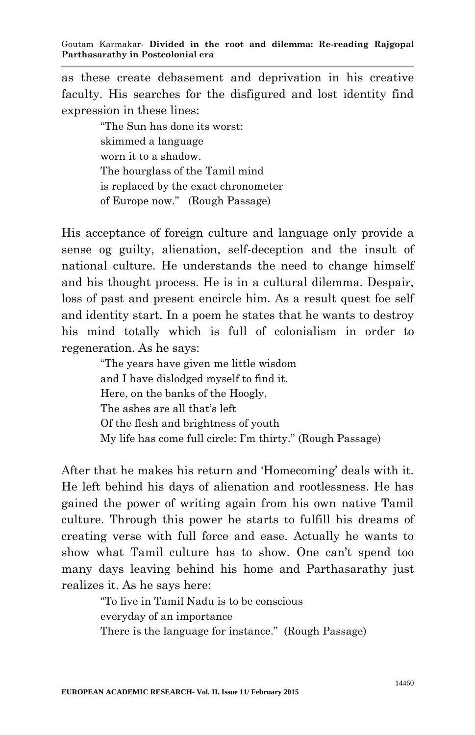as these create debasement and deprivation in his creative faculty. His searches for the disfigured and lost identity find expression in these lines:

> "The Sun has done its worst: skimmed a language worn it to a shadow. The hourglass of the Tamil mind is replaced by the exact chronometer of Europe now." (Rough Passage)

His acceptance of foreign culture and language only provide a sense og guilty, alienation, self-deception and the insult of national culture. He understands the need to change himself and his thought process. He is in a cultural dilemma. Despair, loss of past and present encircle him. As a result quest foe self and identity start. In a poem he states that he wants to destroy his mind totally which is full of colonialism in order to regeneration. As he says:

> "The years have given me little wisdom and I have dislodged myself to find it. Here, on the banks of the Hoogly, The ashes are all that's left Of the flesh and brightness of youth My life has come full circle: I"m thirty." (Rough Passage)

After that he makes his return and "Homecoming" deals with it. He left behind his days of alienation and rootlessness. He has gained the power of writing again from his own native Tamil culture. Through this power he starts to fulfill his dreams of creating verse with full force and ease. Actually he wants to show what Tamil culture has to show. One can't spend too many days leaving behind his home and Parthasarathy just realizes it. As he says here:

> "To live in Tamil Nadu is to be conscious everyday of an importance There is the language for instance." (Rough Passage)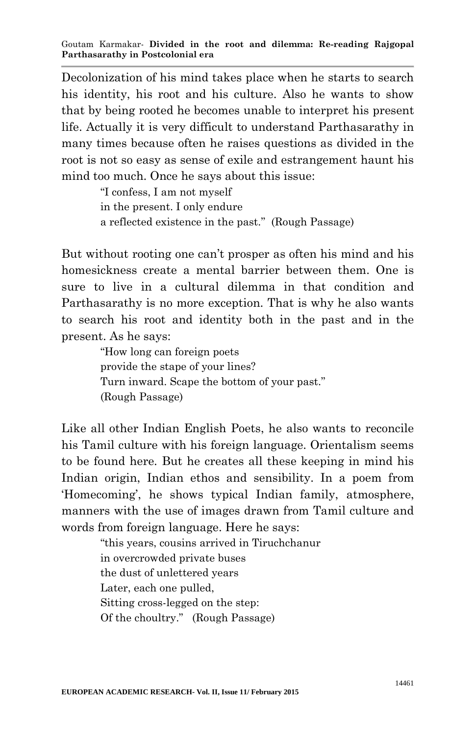Decolonization of his mind takes place when he starts to search his identity, his root and his culture. Also he wants to show that by being rooted he becomes unable to interpret his present life. Actually it is very difficult to understand Parthasarathy in many times because often he raises questions as divided in the root is not so easy as sense of exile and estrangement haunt his mind too much. Once he says about this issue:

> "I confess, I am not myself in the present. I only endure a reflected existence in the past." (Rough Passage)

But without rooting one can"t prosper as often his mind and his homesickness create a mental barrier between them. One is sure to live in a cultural dilemma in that condition and Parthasarathy is no more exception. That is why he also wants to search his root and identity both in the past and in the present. As he says:

> "How long can foreign poets provide the stape of your lines? Turn inward. Scape the bottom of your past." (Rough Passage)

Like all other Indian English Poets, he also wants to reconcile his Tamil culture with his foreign language. Orientalism seems to be found here. But he creates all these keeping in mind his Indian origin, Indian ethos and sensibility. In a poem from "Homecoming", he shows typical Indian family, atmosphere, manners with the use of images drawn from Tamil culture and words from foreign language. Here he says:

> "this years, cousins arrived in Tiruchchanur in overcrowded private buses the dust of unlettered years Later, each one pulled, Sitting cross-legged on the step: Of the choultry." (Rough Passage)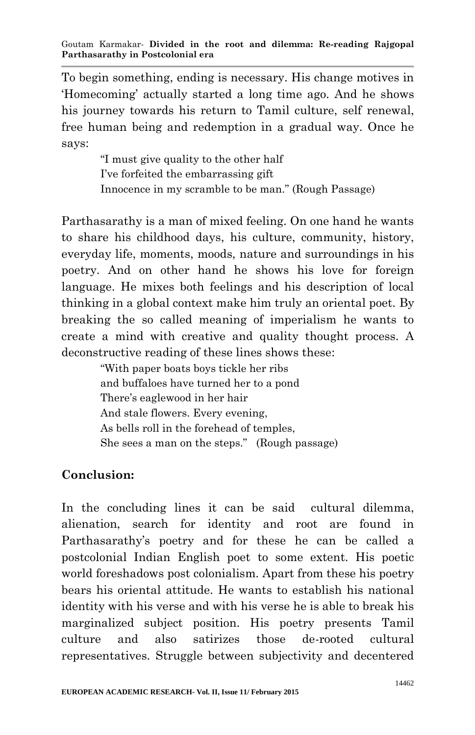To begin something, ending is necessary. His change motives in "Homecoming" actually started a long time ago. And he shows his journey towards his return to Tamil culture, self renewal, free human being and redemption in a gradual way. Once he says:

> "I must give quality to the other half I"ve forfeited the embarrassing gift Innocence in my scramble to be man." (Rough Passage)

Parthasarathy is a man of mixed feeling. On one hand he wants to share his childhood days, his culture, community, history, everyday life, moments, moods, nature and surroundings in his poetry. And on other hand he shows his love for foreign language. He mixes both feelings and his description of local thinking in a global context make him truly an oriental poet. By breaking the so called meaning of imperialism he wants to create a mind with creative and quality thought process. A deconstructive reading of these lines shows these:

> "With paper boats boys tickle her ribs and buffaloes have turned her to a pond There"s eaglewood in her hair And stale flowers. Every evening, As bells roll in the forehead of temples, She sees a man on the steps." (Rough passage)

## **Conclusion:**

In the concluding lines it can be said cultural dilemma, alienation, search for identity and root are found in Parthasarathy"s poetry and for these he can be called a postcolonial Indian English poet to some extent. His poetic world foreshadows post colonialism. Apart from these his poetry bears his oriental attitude. He wants to establish his national identity with his verse and with his verse he is able to break his marginalized subject position. His poetry presents Tamil culture and also satirizes those de-rooted cultural representatives. Struggle between subjectivity and decentered